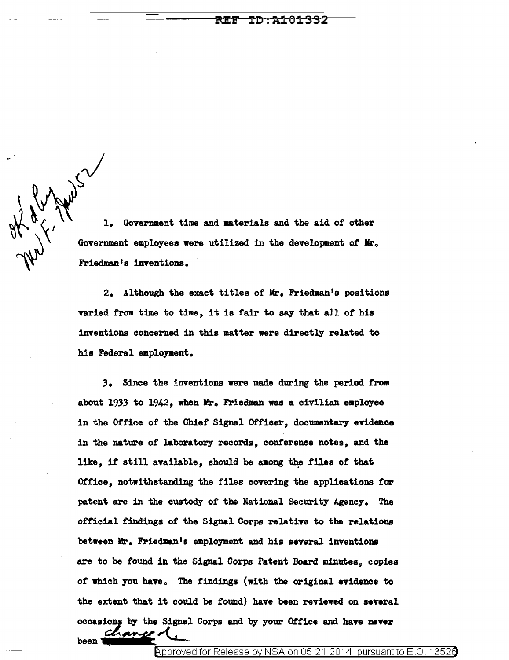$-20,0000000000$ 1. Government time and materials and the aid or other Government employees were utilized in the development of Mr. Friedman's inventions.

> 2. Although the exact titles of Mr. Friedman's positions varied from time to time, it is fair to say that all of his inventions concerned in this aatter were directly related to his Federal employment.

.3. Since the inventions were made during the period from about 1933 to 1942, when Mr. Friedman was a civilian employee in the Office of the Chief Signal Officer, documentary evidence in the nature of laboratory records, conference notes, and the like, if still available, should be among the files of that Office, notwithstanding the files covering the applications for patent are in the custody of the National Security Agency. The official findings or the Signal Corps relative to the relations between Mr. Friedman's employment and his several inventions are to be found in the Signal Corps Patent Board minutes, copies of which you have. The findings (with the original evidence to the extent that it could be found) have been reviewed on several occasions by the Signal Corps and by your Office and have never  $b$ een  $\overbrace{ }$   $\overbrace{ }$